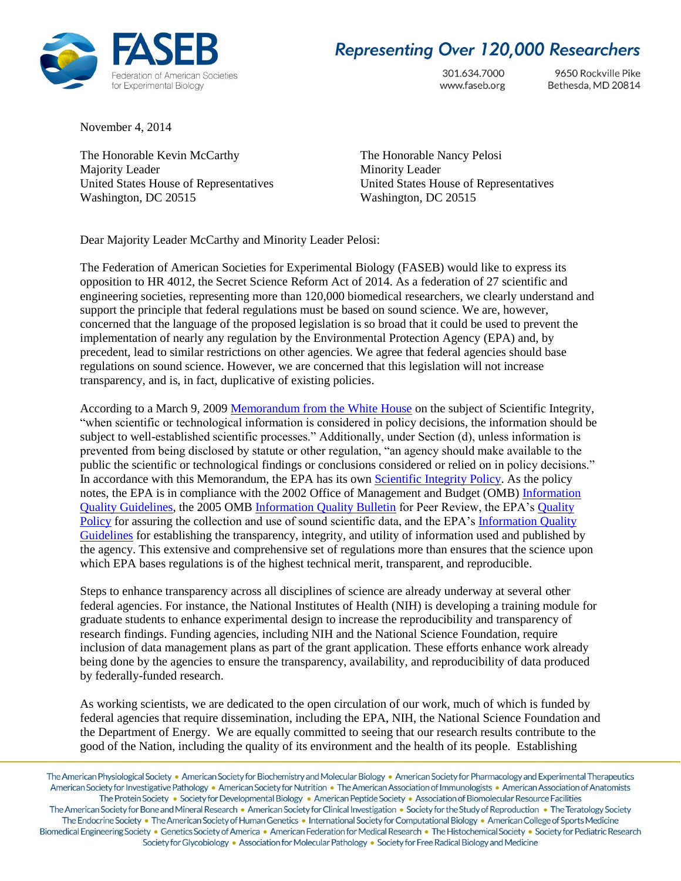

## **Representing Over 120,000 Researchers**

301.634.7000 www.faseb.org

9650 Rockville Pike Bethesda, MD 20814

November 4, 2014

The Honorable Kevin McCarthy The Honorable Nancy Pelosi Majority Leader Minority Leader Washington, DC 20515 Washington, DC 20515

United States House of Representatives United States House of Representatives

Dear Majority Leader McCarthy and Minority Leader Pelosi:

The Federation of American Societies for Experimental Biology (FASEB) would like to express its opposition to HR 4012, the Secret Science Reform Act of 2014. As a federation of 27 scientific and engineering societies, representing more than 120,000 biomedical researchers, we clearly understand and support the principle that federal regulations must be based on sound science. We are, however, concerned that the language of the proposed legislation is so broad that it could be used to prevent the implementation of nearly any regulation by the Environmental Protection Agency (EPA) and, by precedent, lead to similar restrictions on other agencies. We agree that federal agencies should base regulations on sound science. However, we are concerned that this legislation will not increase transparency, and is, in fact, duplicative of existing policies.

According to a March 9, 2009 [Memorandum from the White House](http://www.whitehouse.gov/the-press-office/memorandum-heads-executive-departments-and-agencies-3-9-09) on the subject of Scientific Integrity, "when scientific or technological information is considered in policy decisions, the information should be subject to well-established scientific processes." Additionally, under Section (d), unless information is prevented from being disclosed by statute or other regulation, "an agency should make available to the public the scientific or technological findings or conclusions considered or relied on in policy decisions." In accordance with this Memorandum, the EPA has its own Scientific [Integrity Policy.](http://www.epa.gov/osa/pdfs/epa_scientific_integrity_policy_20120115.pdf) As the policy notes, the EPA is in compliance with the 2002 Office of Management and Budget (OMB) [Information](http://www.whitehouse.gov/sites/default/files/omb/inforeg/iqg_oct2002.pdf)  [Quality Guidelines,](http://www.whitehouse.gov/sites/default/files/omb/inforeg/iqg_oct2002.pdf) the 2005 OMB [Information Quality Bulletin](http://www.whitehouse.gov/sites/default/files/omb/assets/omb/memoranda/fy2005/m05-03.pdf) for Peer Review, the EPA's [Quality](http://www.epa.gov/irmpoli8/policies/21060.pdf)  [Policy](http://www.epa.gov/irmpoli8/policies/21060.pdf) for assuring the collection and use of sound scientific data, and the EPA's Information Quality [Guidelines](http://www.epa.gov/QUALITY/informationguidelines/documents/EPA_InfoQualityGuidelines.pdf) for establishing the transparency, integrity, and utility of information used and published by the agency. This extensive and comprehensive set of regulations more than ensures that the science upon which EPA bases regulations is of the highest technical merit, transparent, and reproducible.

Steps to enhance transparency across all disciplines of science are already underway at several other federal agencies. For instance, the National Institutes of Health (NIH) is developing a training module for graduate students to enhance experimental design to increase the reproducibility and transparency of research findings. Funding agencies, including NIH and the National Science Foundation, require inclusion of data management plans as part of the grant application. These efforts enhance work already being done by the agencies to ensure the transparency, availability, and reproducibility of data produced by federally-funded research.

As working scientists, we are dedicated to the open circulation of our work, much of which is funded by federal agencies that require dissemination, including the EPA, NIH, the National Science Foundation and the Department of Energy. We are equally committed to seeing that our research results contribute to the good of the Nation, including the quality of its environment and the health of its people. Establishing

The American Physiological Society . American Society for Biochemistry and Molecular Biology . American Society for Pharmacology and Experimental Therapeutics American Society for Investigative Pathology • American Society for Nutrition • The American Association of Immunologists • American Association of Anatomists The Protein Society • Society for Developmental Biology • American Peptide Society • Association of Biomolecular Resource Facilities The American Society for Bone and Mineral Research . American Society for Clinical Investigation . Society for the Study of Reproduction . The Teratology Society The Endocrine Society • The American Society of Human Genetics • International Society for Computational Biology • American College of Sports Medicine Biomedical Engineering Society · Genetics Society of America · American Federation for Medical Research · The Histochemical Society · Society for Pediatric Research Society for Glycobiology • Association for Molecular Pathology • Society for Free Radical Biology and Medicine